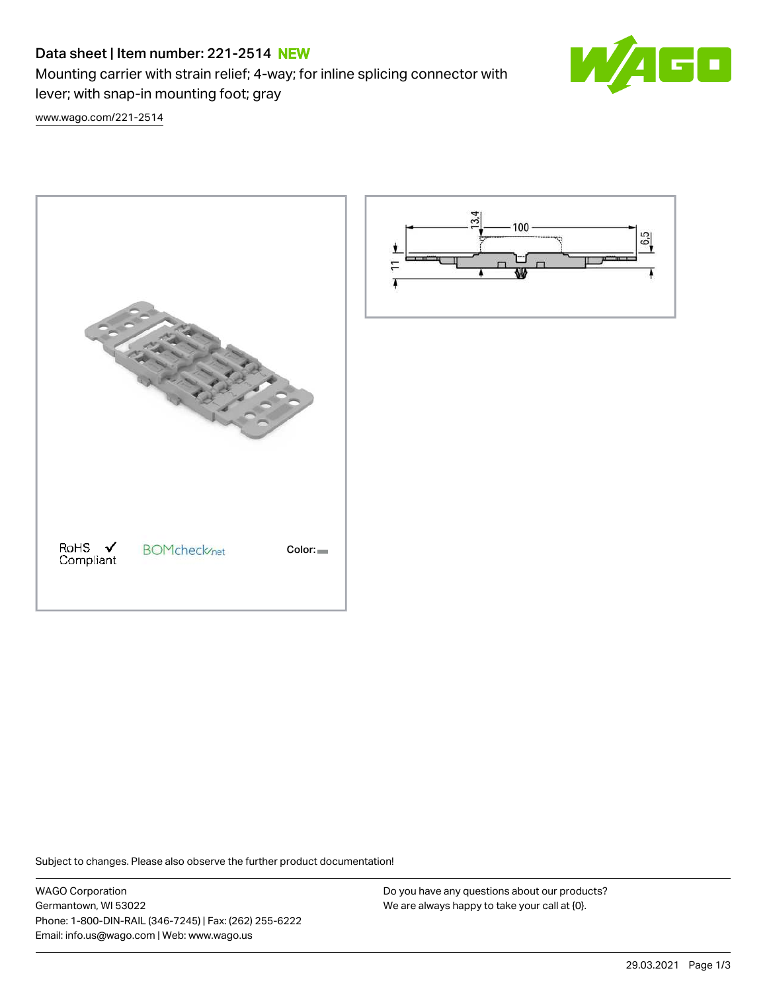# Data sheet | Item number: 221-2514 NEW

Mounting carrier with strain relief; 4-way; for inline splicing connector with lever; with snap-in mounting foot; gray



[www.wago.com/221-2514](http://www.wago.com/221-2514)





Subject to changes. Please also observe the further product documentation!

WAGO Corporation Germantown, WI 53022 Phone: 1-800-DIN-RAIL (346-7245) | Fax: (262) 255-6222 Email: info.us@wago.com | Web: www.wago.us

Do you have any questions about our products? We are always happy to take your call at {0}.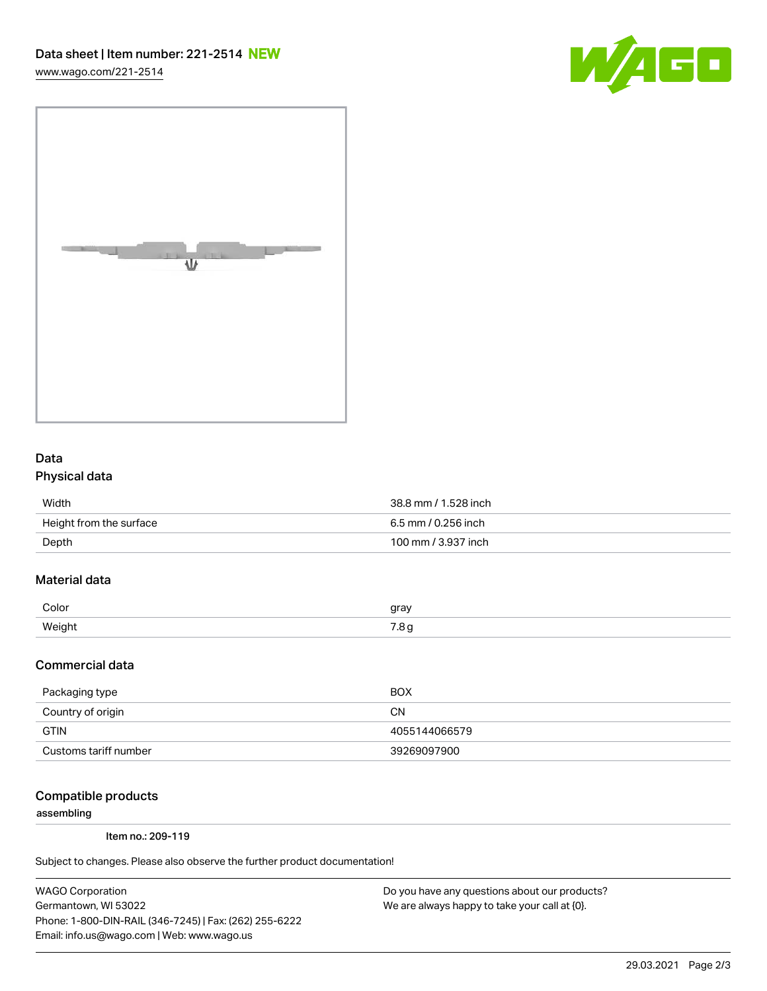[www.wago.com/221-2514](http://www.wago.com/221-2514)





### Data Physical data

| Width                   | 38.8 mm / 1.528 inch |
|-------------------------|----------------------|
| Height from the surface | 6.5 mm / 0.256 inch  |
| Depth                   | 100 mm / 3.937 inch  |

## Material data

| Color | arov |
|-------|------|
| Weiał |      |
| ່.    | .    |

#### Commercial data

| Packaging type        | <b>BOX</b>    |
|-----------------------|---------------|
| Country of origin     | CΝ            |
| GTIN                  | 4055144066579 |
| Customs tariff number | 39269097900   |

#### Compatible products

assembling

Item no.: 209-119

Subject to changes. Please also observe the further product documentation!

WAGO Corporation Germantown, WI 53022 Phone: 1-800-DIN-RAIL (346-7245) | Fax: (262) 255-6222 Email: info.us@wago.com | Web: www.wago.us

Do you have any questions about our products? We are always happy to take your call at {0}.